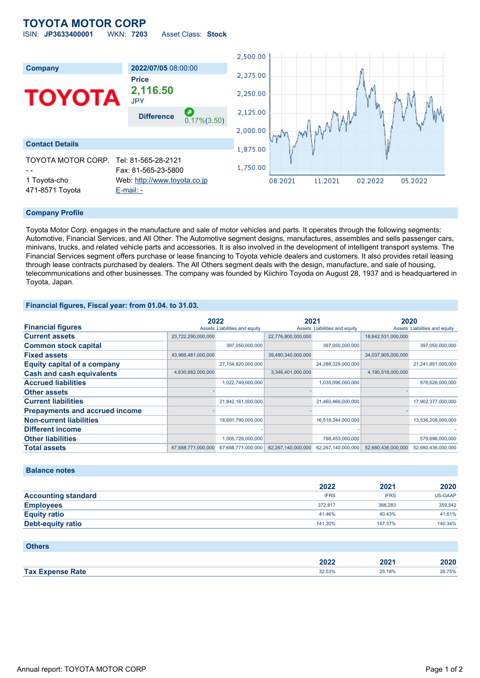### **TOYOTA MOTOR CORP** ISIN: **JP3633400001** WKN: **7203** Asset Class: **Stock**

|                                 |                                              |                     | 2,500.00 |                      |             |         |         |
|---------------------------------|----------------------------------------------|---------------------|----------|----------------------|-------------|---------|---------|
| Company                         | 2022/07/05 08:00:00                          |                     |          |                      |             |         |         |
|                                 | <b>Price</b>                                 |                     | 2,375.00 |                      |             |         |         |
| <b>TOYOTA</b>                   | 2,116.50<br><b>JPY</b>                       |                     | 2,250.00 |                      |             |         |         |
|                                 | <b>Difference</b>                            | æ<br>$0.17\%(3.50)$ | 2,125.00 |                      | my pour the |         |         |
|                                 |                                              |                     | 2,000.00 |                      |             |         |         |
| <b>Contact Details</b>          |                                              |                     | 1,875.00 | <b>M<sub>M</sub></b> |             |         |         |
| TOYOTA MOTOR CORP.              | Tel: 81-565-28-2121<br>Fax: 81-565-23-5800   |                     | 1,750.00 |                      |             |         |         |
| 1 Toyota-cho<br>471-8571 Toyota | Web: http://www.toyota.co.jp<br>$E$ -mail: - |                     |          | 08.2021              | 11.2021     | 02.2022 | 05.2022 |

### **Company Profile**

Toyota Motor Corp. engages in the manufacture and sale of motor vehicles and parts. It operates through the following segments: Automotive, Financial Services, and All Other. The Automotive segment designs, manufactures, assembles and sells passenger cars, minivans, trucks, and related vehicle parts and accessories. It is also involved in the development of intelligent transport systems. The Financial Services segment offers purchase or lease financing to Toyota vehicle dealers and customers. It also provides retail leasing through lease contracts purchased by dealers. The All Others segment deals with the design, manufacture, and sale of housing, telecommunications and other businesses. The company was founded by Kiichiro Toyoda on August 28, 1937 and is headquartered in Toyota, Japan.

### **Financial figures, Fiscal year: from 01.04. to 31.03.**

|                                       |                    | 2022                          | 2021               |                               | 2020               |                               |
|---------------------------------------|--------------------|-------------------------------|--------------------|-------------------------------|--------------------|-------------------------------|
| <b>Financial figures</b>              |                    | Assets Liabilities and equity |                    | Assets Liabilities and equity |                    | Assets Liabilities and equity |
| <b>Current assets</b>                 | 23,722,290,000,000 |                               | 22,776,800,000,000 |                               | 18,642,531,000,000 |                               |
| <b>Common stock capital</b>           |                    | 397,050,000,000               |                    | 397,050,000,000               |                    | 397,050,000,000               |
| <b>Fixed assets</b>                   | 43,966,481,000,000 |                               | 39,490,340,000,000 |                               | 34,037,905,000,000 |                               |
| <b>Equity capital of a company</b>    |                    | 27,154,820,000,000            |                    | 24,288,329,000,000            |                    | 21,241,851,000,000            |
| <b>Cash and cash equivalents</b>      | 4,630,882,000,000  |                               | 3,346,401,000,000  |                               | 4,190,518,000,000  |                               |
| <b>Accrued liabilities</b>            |                    | 1,022,749,000,000             |                    | 1,035,096,000,000             |                    | 978,626,000,000               |
| <b>Other assets</b>                   |                    |                               |                    |                               |                    |                               |
| <b>Current liabilities</b>            |                    | 21,842,161,000,000            |                    | 21,460,466,000,000            |                    | 17,902,377,000,000            |
| <b>Prepayments and accrued income</b> |                    |                               |                    |                               |                    |                               |
| <b>Non-current liabilities</b>        |                    | 18,691,790,000,000            |                    | 16,518,344,000,000            |                    | 13,536,208,000,000            |
| Different income                      |                    |                               |                    |                               |                    |                               |
| <b>Other liabilities</b>              |                    | 1,005,728,000,000             |                    | 788,453,000,000               |                    | 579,696,000,000               |
| <b>Total assets</b>                   | 67,688,771,000,000 | 67,688,771,000,000            | 62,267,140,000,000 | 62,267,140,000,000            | 52,680,436,000,000 | 52,680,436,000,000            |

### **Balance notes**

|                            | 2022        | 2021        | 2020    |
|----------------------------|-------------|-------------|---------|
| <b>Accounting standard</b> | <b>IFRS</b> | <b>IFRS</b> | US-GAAP |
| <b>Employees</b>           | 372.817     | 366,283     | 359,542 |
| <b>Equity ratio</b>        | 41.46%      | 40.43%      | 41.61%  |
| <b>Debt-equity ratio</b>   | 141.20%     | 147.37%     | 140.34% |

| <b>Others</b>           |        |        |        |
|-------------------------|--------|--------|--------|
|                         | 2022   | 2021   | 2020   |
| <b>Tax Expense Rate</b> | 32.53% | 25.18% | 26.75% |